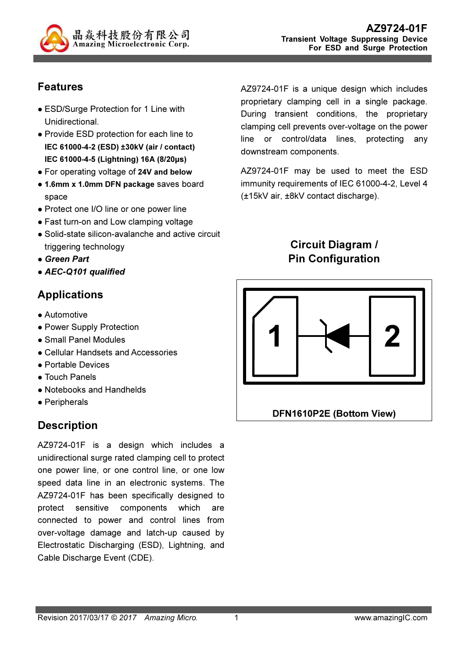

## Features

- ESD/Surge Protection for 1 Line with Unidirectional.
- Provide ESD protection for each line to IEC 61000-4-2 (ESD) ±30kV (air / contact) IEC 61000-4-5 (Lightning) 16A (8/20µs)
- For operating voltage of 24V and below
- 1.6mm x 1.0mm DFN package saves board space
- Protect one I/O line or one power line
- Fast turn-on and Low clamping voltage
- Solid-state silicon-avalanche and active circuit triggering technology
- Green Part
- AEC-Q101 qualified

### Applications

- **Automotive**
- Power Supply Protection
- Small Panel Modules
- Cellular Handsets and Accessories
- Portable Devices
- Touch Panels
- Notebooks and Handhelds
- Peripherals

## **Description**

AZ9724-01F is a design which includes a unidirectional surge rated clamping cell to protect one power line, or one control line, or one low speed data line in an electronic systems. The AZ9724-01F has been specifically designed to protect sensitive components which are connected to power and control lines from over-voltage damage and latch-up caused by Electrostatic Discharging (ESD), Lightning, and Cable Discharge Event (CDE).

AZ9724-01F is a unique design which includes proprietary clamping cell in a single package. During transient conditions, the proprietary clamping cell prevents over-voltage on the power line or control/data lines, protecting any downstream components.

AZ9724-01F may be used to meet the ESD immunity requirements of IEC 61000-4-2, Level 4 (±15kV air, ±8kV contact discharge).

> Circuit Diagram / Pin Configuration

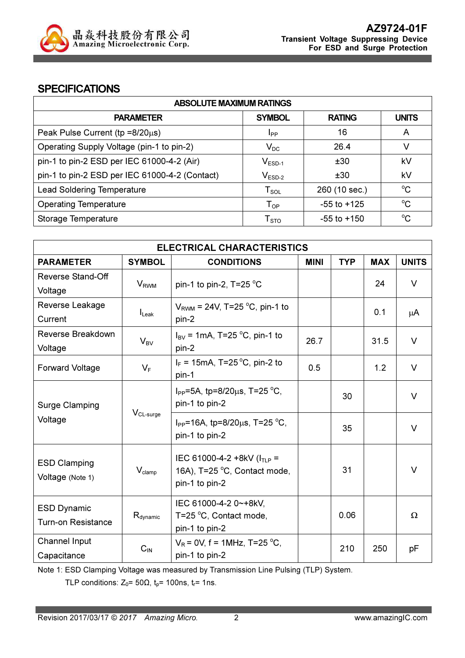

#### **SPECIFICATIONS**

| <b>ABSOLUTE MAXIMUM RATINGS</b>                |                             |                 |              |  |
|------------------------------------------------|-----------------------------|-----------------|--------------|--|
| <b>PARAMETER</b>                               | <b>SYMBOL</b>               | <b>RATING</b>   | <b>UNITS</b> |  |
| Peak Pulse Current ( $tp = 8/20\mu s$ )        | <b>I</b> pp                 | 16              | A            |  |
| Operating Supply Voltage (pin-1 to pin-2)      | $V_{DC}$                    | 26.4            | v            |  |
| pin-1 to pin-2 ESD per IEC 61000-4-2 (Air)     | $V_{ESD-1}$                 | ±30             | kV           |  |
| pin-1 to pin-2 ESD per IEC 61000-4-2 (Contact) | $V_{ESD-2}$                 | ±30             | kV           |  |
| <b>Lead Soldering Temperature</b>              | $T_{\textnormal{SOL}}$      | 260 (10 sec.)   | $^{\circ}C$  |  |
| <b>Operating Temperature</b>                   | ${\mathsf T}_{\textsf{OP}}$ | $-55$ to $+125$ | $^{\circ}C$  |  |
| Storage Temperature                            | ${\mathsf T}_{\text{STO}}$  | $-55$ to $+150$ | $^{\circ}C$  |  |

| <b>ELECTRICAL CHARACTERISTICS</b>                 |                         |                                                                  |             |            |            |              |
|---------------------------------------------------|-------------------------|------------------------------------------------------------------|-------------|------------|------------|--------------|
| <b>PARAMETER</b>                                  | <b>SYMBOL</b>           | <b>CONDITIONS</b>                                                | <b>MINI</b> | <b>TYP</b> | <b>MAX</b> | <b>UNITS</b> |
| Reverse Stand-Off                                 |                         |                                                                  |             |            | 24         | $\vee$       |
| Voltage                                           | <b>V</b> <sub>RWM</sub> | pin-1 to pin-2, $T=25 \degree C$                                 |             |            |            |              |
| Reverse Leakage                                   |                         | $V_{RWM}$ = 24V, T=25 °C, pin-1 to                               |             |            | 0.1        |              |
| Current                                           | $I_{\text{Leak}}$       | pin-2                                                            |             |            |            | μA           |
| Reverse Breakdown                                 |                         | $I_{BV}$ = 1mA, T=25 °C, pin-1 to                                |             |            |            | $\vee$       |
| Voltage                                           | $V_{BV}$                | pin-2                                                            | 26.7        |            | 31.5       |              |
| <b>Forward Voltage</b>                            | $V_F$                   | $I_F$ = 15mA, T=25 °C, pin-2 to                                  | 0.5         |            | 1.2        | V            |
|                                                   |                         | pin-1                                                            |             |            |            |              |
|                                                   |                         | $I_{PP}$ =5A, tp=8/20 $\mu$ s, T=25 °C,                          |             | 30         |            | $\vee$       |
| <b>Surge Clamping</b>                             |                         | pin-1 to pin-2                                                   |             |            |            |              |
| Voltage                                           | $V_{CL-surge}$          | I <sub>PP</sub> =16A, tp=8/20 $\mu$ s, T=25 °C,                  |             |            |            | V            |
|                                                   |                         | pin-1 to pin-2                                                   |             | 35         |            |              |
|                                                   |                         |                                                                  |             |            |            |              |
| <b>ESD Clamping</b>                               | $V_{\text{clamp}}$      | IEC 61000-4-2 +8kV ( $I_{TLP}$ =<br>16A), T=25 °C, Contact mode, |             | 31         |            | $\vee$       |
| Voltage (Note 1)                                  |                         | pin-1 to pin-2                                                   |             |            |            |              |
|                                                   |                         |                                                                  |             |            |            |              |
| <b>ESD Dynamic</b>                                |                         | IEC 61000-4-2 0~+8kV,                                            |             | 0.06       |            |              |
| $R_{\text{dynamic}}$<br><b>Turn-on Resistance</b> |                         | T=25 °C, Contact mode,<br>pin-1 to pin-2                         |             |            |            | Ω            |
| Channel Input                                     |                         | $V_R$ = 0V, f = 1MHz, T=25 °C,                                   |             |            |            |              |
| Capacitance                                       | $C_{\text{IN}}$         | pin-1 to pin-2                                                   |             | 210        | 250        | рF           |
|                                                   |                         |                                                                  |             |            |            |              |

Note 1: ESD Clamping Voltage was measured by Transmission Line Pulsing (TLP) System.

TLP conditions:  $Z_0$ = 50 $\Omega$ ,  $t_p$ = 100ns,  $t_r$ = 1ns.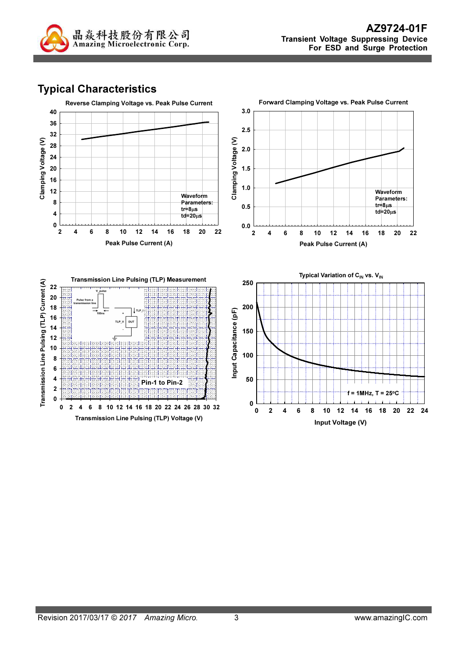

# Typical Characteristics

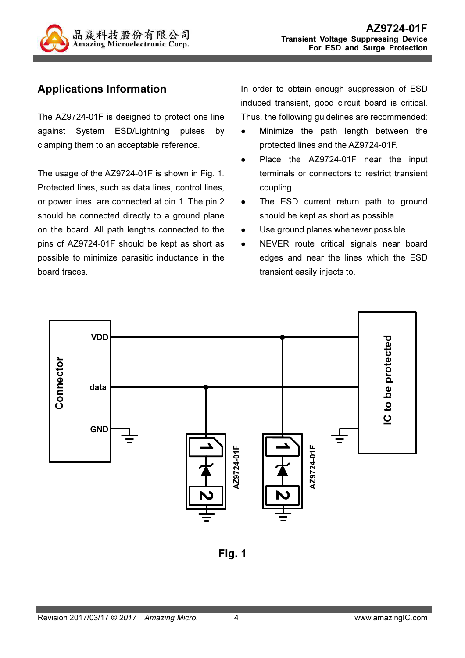

# Applications Information

The AZ9724-01F is designed to protect one line against System ESD/Lightning pulses by clamping them to an acceptable reference.

The usage of the AZ9724-01F is shown in Fig. 1. Protected lines, such as data lines, control lines, or power lines, are connected at pin 1. The pin 2 should be connected directly to a ground plane on the board. All path lengths connected to the pins of AZ9724-01F should be kept as short as possible to minimize parasitic inductance in the board traces.

In order to obtain enough suppression of ESD induced transient, good circuit board is critical. Thus, the following guidelines are recommended:

- Minimize the path length between the protected lines and the AZ9724-01F.
- Place the AZ9724-01F near the input terminals or connectors to restrict transient coupling.
- The ESD current return path to ground should be kept as short as possible.
- Use ground planes whenever possible.
- NEVER route critical signals near board edges and near the lines which the ESD transient easily injects to.



Fig. 1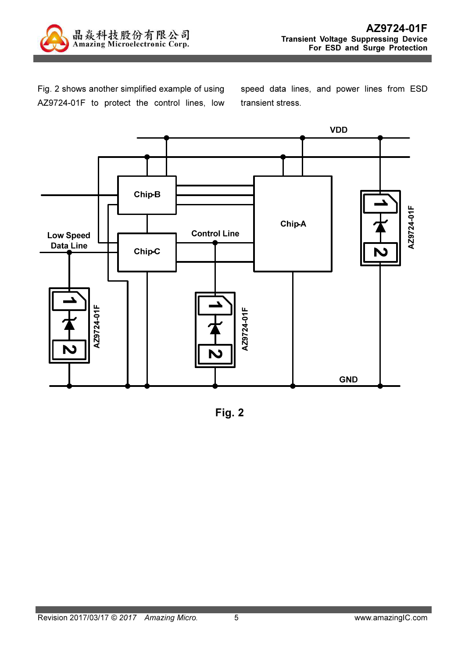

Fig. 2 shows another simplified example of using AZ9724-01F to protect the control lines, low speed data lines, and power lines from ESD transient stress.



Fig. 2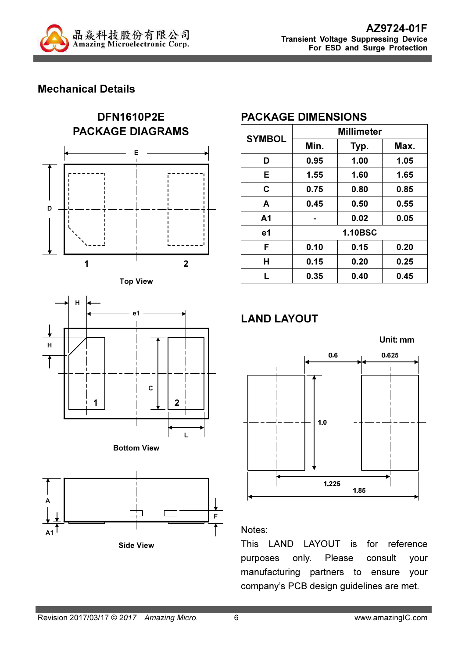

## Mechanical Details











### PACKAGE DIMENSIONS

| <b>SYMBOL</b>  | <b>Millimeter</b> |      |      |  |
|----------------|-------------------|------|------|--|
|                | Min.              | Typ. | Max. |  |
| D              | 0.95              | 1.00 | 1.05 |  |
| Е              | 1.55              | 1.60 | 1.65 |  |
| C              | 0.75              | 0.80 | 0.85 |  |
| A              | 0.45              | 0.50 | 0.55 |  |
| A <sub>1</sub> |                   | 0.02 | 0.05 |  |
| e1             | <b>1.10BSC</b>    |      |      |  |
| F              | 0.10              | 0.15 | 0.20 |  |
| Н              | 0.15              | 0.20 | 0.25 |  |
| L              | 0.35              | 0.40 | 0.45 |  |

# LAND LAYOUT



#### Notes:

This LAND LAYOUT is for reference purposes only. Please consult your manufacturing partners to ensure your company's PCB design guidelines are met.